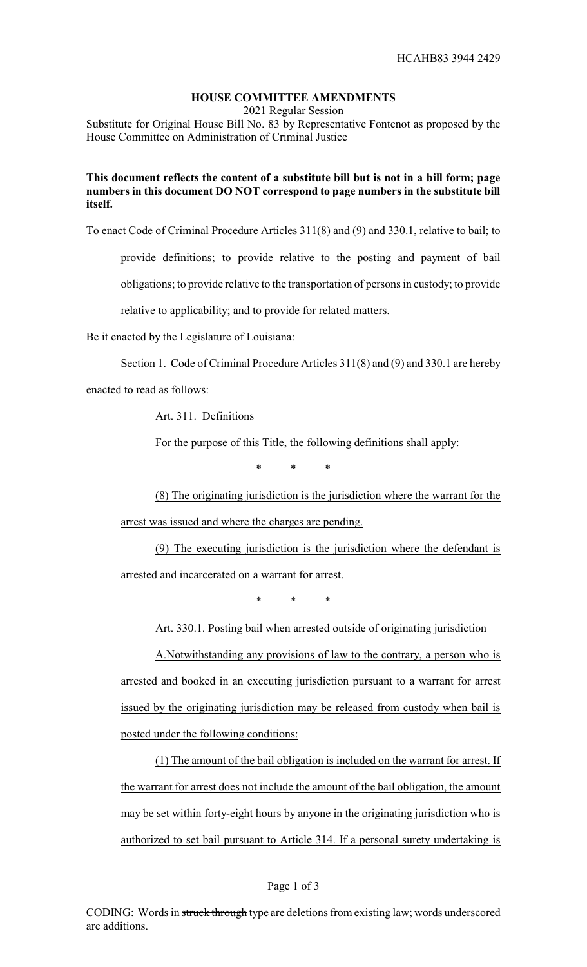## **HOUSE COMMITTEE AMENDMENTS**

2021 Regular Session

Substitute for Original House Bill No. 83 by Representative Fontenot as proposed by the House Committee on Administration of Criminal Justice

## **This document reflects the content of a substitute bill but is not in a bill form; page numbers in this document DO NOT correspond to page numbers in the substitute bill itself.**

To enact Code of Criminal Procedure Articles 311(8) and (9) and 330.1, relative to bail; to

provide definitions; to provide relative to the posting and payment of bail

obligations; to provide relative to the transportation of persons in custody; to provide

relative to applicability; and to provide for related matters.

Be it enacted by the Legislature of Louisiana:

Section 1. Code of Criminal Procedure Articles 311(8) and (9) and 330.1 are hereby

enacted to read as follows:

Art. 311. Definitions

For the purpose of this Title, the following definitions shall apply:

\* \* \*

(8) The originating jurisdiction is the jurisdiction where the warrant for the arrest was issued and where the charges are pending.

(9) The executing jurisdiction is the jurisdiction where the defendant is arrested and incarcerated on a warrant for arrest.

\* \* \*

Art. 330.1. Posting bail when arrested outside of originating jurisdiction

A.Notwithstanding any provisions of law to the contrary, a person who is arrested and booked in an executing jurisdiction pursuant to a warrant for arrest issued by the originating jurisdiction may be released from custody when bail is posted under the following conditions:

(1) The amount of the bail obligation is included on the warrant for arrest. If the warrant for arrest does not include the amount of the bail obligation, the amount may be set within forty-eight hours by anyone in the originating jurisdiction who is authorized to set bail pursuant to Article 314. If a personal surety undertaking is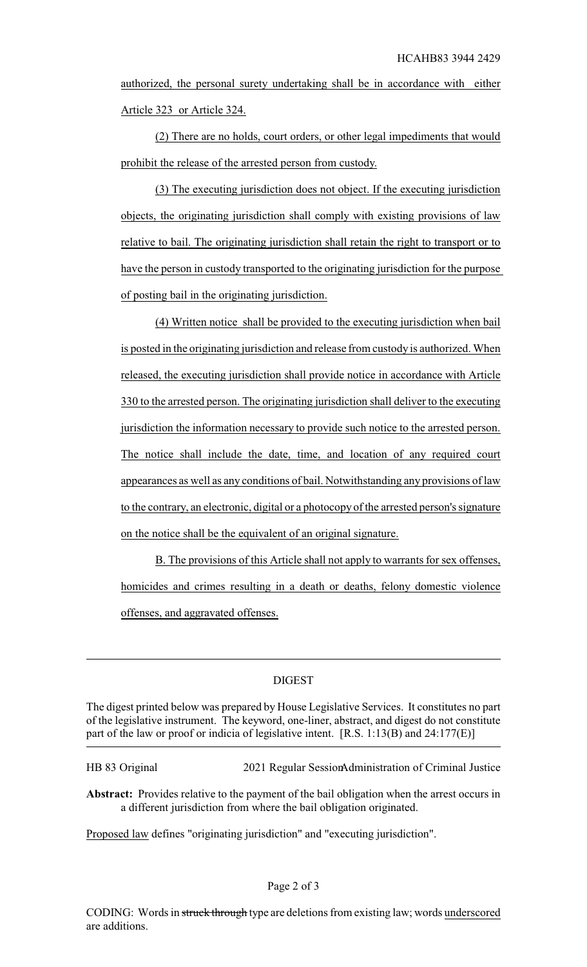authorized, the personal surety undertaking shall be in accordance with either Article 323 or Article 324.

(2) There are no holds, court orders, or other legal impediments that would prohibit the release of the arrested person from custody.

(3) The executing jurisdiction does not object. If the executing jurisdiction objects, the originating jurisdiction shall comply with existing provisions of law relative to bail. The originating jurisdiction shall retain the right to transport or to have the person in custody transported to the originating jurisdiction for the purpose of posting bail in the originating jurisdiction.

(4) Written notice shall be provided to the executing jurisdiction when bail is posted in the originating jurisdiction and release from custody is authorized. When released, the executing jurisdiction shall provide notice in accordance with Article 330 to the arrested person. The originating jurisdiction shall deliver to the executing jurisdiction the information necessary to provide such notice to the arrested person. The notice shall include the date, time, and location of any required court appearances as well as any conditions of bail. Notwithstanding any provisions of law to the contrary, an electronic, digital or a photocopy of the arrested person's signature on the notice shall be the equivalent of an original signature.

B. The provisions of this Article shall not apply to warrants for sex offenses, homicides and crimes resulting in a death or deaths, felony domestic violence offenses, and aggravated offenses.

## DIGEST

The digest printed below was prepared by House Legislative Services. It constitutes no part of the legislative instrument. The keyword, one-liner, abstract, and digest do not constitute part of the law or proof or indicia of legislative intent. [R.S. 1:13(B) and 24:177(E)]

HB 83 Original 2021 Regular SessionAdministration of Criminal Justice

**Abstract:** Provides relative to the payment of the bail obligation when the arrest occurs in a different jurisdiction from where the bail obligation originated.

Proposed law defines "originating jurisdiction" and "executing jurisdiction".